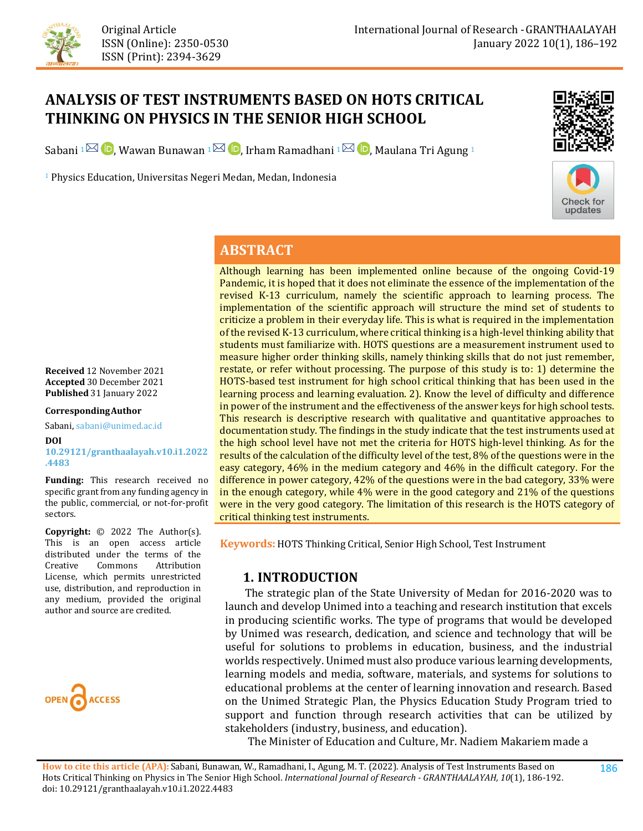

Original Article ISSN (Online): 2350-0530 ISSN (Print): 2394-3629

# **ANALYSIS OF TEST INSTRUMENTS BASED ON HOTS CRITICAL THINKING ON PHYSICS IN THE SENIOR HIGH SCHOOL**

Sabani 1<sup> $\boxtimes$ </sup>  $\blacksquare$ , Wawan Bunawan 1 $\boxtimes$   $\blacksquare$ , Irham Ramadhani 1 $\boxtimes$   $\blacksquare$ , Maulana Tri Agung 1

<sup>1</sup> Physics Education, Universitas Negeri Medan, Medan, Indonesia





### **ABSTRACT**

Although learning has been implemented online because of the ongoing Covid-19 Pandemic, it is hoped that it does not eliminate the essence of the implementation of the revised K-13 curriculum, namely the scientific approach to learning process. The implementation of the scientific approach will structure the mind set of students to criticize a problem in their everyday life. This is what is required in the implementation of the revised K-13 curriculum, where critical thinking is a high-level thinking ability that students must familiarize with. HOTS questions are a measurement instrument used to measure higher order thinking skills, namely thinking skills that do not just remember, restate, or refer without processing. The purpose of this study is to: 1) determine the HOTS-based test instrument for high school critical thinking that has been used in the learning process and learning evaluation. 2). Know the level of difficulty and difference in power of the instrument and the effectiveness of the answer keys for high school tests. This research is descriptive research with qualitative and quantitative approaches to documentation study. The findings in the study indicate that the test instruments used at the high school level have not met the criteria for HOTS high-level thinking. As for the results of the calculation of the difficulty level of the test, 8% of the questions were in the easy category, 46% in the medium category and 46% in the difficult category. For the difference in power category, 42% of the questions were in the bad category, 33% were in the enough category, while 4% were in the good category and 21% of the questions were in the very good category. The limitation of this research is the HOTS category of critical thinking test instruments.

**Keywords:** HOTS Thinking Critical, Senior High School, Test Instrument

#### **1. INTRODUCTION**

 The strategic plan of the State University of Medan for 2016-2020 was to launch and develop Unimed into a teaching and research institution that excels in producing scientific works. The type of programs that would be developed by Unimed was research, dedication, and science and technology that will be useful for solutions to problems in education, business, and the industrial worlds respectively. Unimed must also produce various learning developments, learning models and media, software, materials, and systems for solutions to educational problems at the center of learning innovation and research. Based on the Unimed Strategic Plan, the Physics Education Study Program tried to support and function through research activities that can be utilized by stakeholders (industry, business, and education).

The Minister of Education and Culture, Mr. Nadiem Makariem made a

**Received** 12 November 2021 **Accepted** 30 December 2021 **Published** 31 January 2022

**CorrespondingAuthor**

Sabani, sabani@unimed.ac.id

**DOI [10.29121/granthaalayah.v10.i1.2022](https://dx.doi.org/10.29121/granthaalayah.v10.i1.2022.4483) [.4483](https://dx.doi.org/10.29121/granthaalayah.v10.i1.2022.4483)**

**Funding:** This research received no specific grant from any funding agency in the public, commercial, or not-for-profit sectors.

**Copyright:** © 2022 The Author(s). This is an open access article distributed under the terms of the<br>Creative Commons Attribution Attribution License, which permits unrestricted use, distribution, and reproduction in any medium, provided the original author and source are credited.

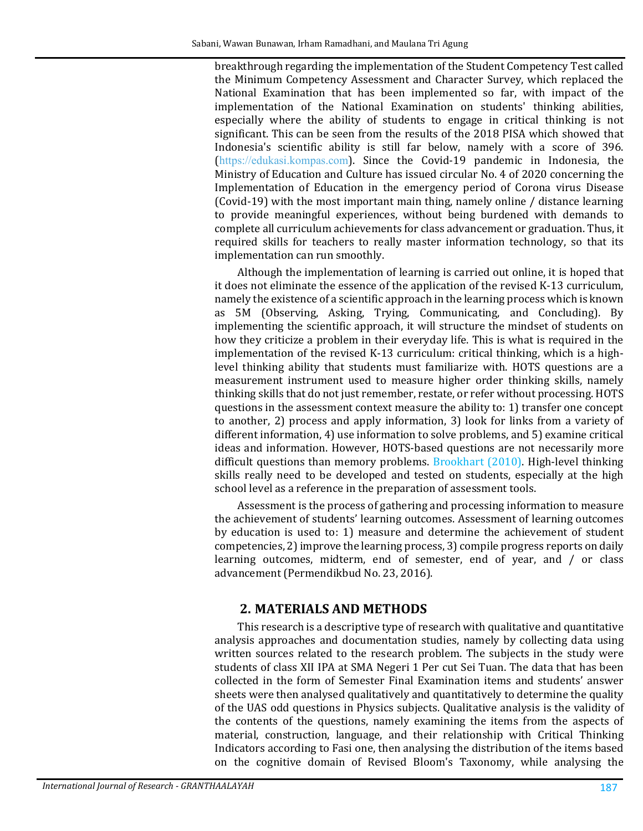breakthrough regarding the implementation of the Student Competency Test called the Minimum Competency Assessment and Character Survey, which replaced the National Examination that has been implemented so far, with impact of the implementation of the National Examination on students' thinking abilities, especially where the ability of students to engage in critical thinking is not significant. This can be seen from the results of the 2018 PISA which showed that Indonesia's scientific ability is still far below, namely with a score of 396. ([https://edukasi.kompas.com](https://edukasi.kompas.com/)). Since the Covid-19 pandemic in Indonesia, the Ministry of Education and Culture has issued circular No. 4 of 2020 concerning the Implementation of Education in the emergency period of Corona virus Disease (Covid-19) with the most important main thing, namely online / distance learning to provide meaningful experiences, without being burdened with demands to complete all curriculum achievements for class advancement or graduation. Thus, it required skills for teachers to really master information technology, so that its implementation can run smoothly.

Although the implementation of learning is carried out online, it is hoped that it does not eliminate the essence of the application of the revised K-13 curriculum, namely the existence of a scientific approach in the learning process which is known as 5M (Observing, Asking, Trying, Communicating, and Concluding). By implementing the scientific approach, it will structure the mindset of students on how they criticize a problem in their everyday life. This is what is required in the implementation of the revised K-13 curriculum: critical thinking, which is a highlevel thinking ability that students must familiarize with. HOTS questions are a measurement instrument used to measure higher order thinking skills, namely thinking skills that do not just remember, restate, or refer without processing. HOTS questions in the assessment context measure the ability to: 1) transfer one concept to another, 2) process and apply information, 3) look for links from a variety of different information, 4) use information to solve problems, and 5) examine critical ideas and information. However, HOTS-based questions are not necessarily more difficult questions than memory problems. [Brookhart \(2010\).](#page-6-0) High-level thinking skills really need to be developed and tested on students, especially at the high school level as a reference in the preparation of assessment tools.

Assessment is the process of gathering and processing information to measure the achievement of students' learning outcomes. Assessment of learning outcomes by education is used to: 1) measure and determine the achievement of student competencies, 2) improve the learning process, 3) compile progress reports on daily learning outcomes, midterm, end of semester, end of year, and / or class advancement (Permendikbud No. 23, 2016).

### **2. MATERIALS AND METHODS**

This research is a descriptive type of research with qualitative and quantitative analysis approaches and documentation studies, namely by collecting data using written sources related to the research problem. The subjects in the study were students of class XII IPA at SMA Negeri 1 Per cut Sei Tuan. The data that has been collected in the form of Semester Final Examination items and students' answer sheets were then analysed qualitatively and quantitatively to determine the quality of the UAS odd questions in Physics subjects. Qualitative analysis is the validity of the contents of the questions, namely examining the items from the aspects of material, construction, language, and their relationship with Critical Thinking Indicators according to Fasi one, then analysing the distribution of the items based on the cognitive domain of Revised Bloom's Taxonomy, while analysing the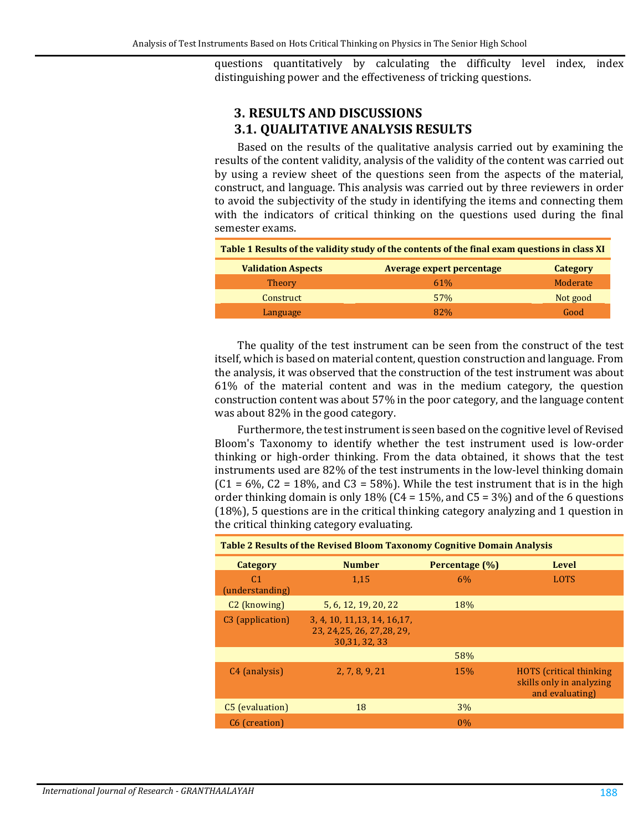questions quantitatively by calculating the difficulty level index, index distinguishing power and the effectiveness of tricking questions.

# **3. RESULTS AND DISCUSSIONS 3.1. QUALITATIVE ANALYSIS RESULTS**

Based on the results of the qualitative analysis carried out by examining the results of the content validity, analysis of the validity of the content was carried out by using a review sheet of the questions seen from the aspects of the material, construct, and language. This analysis was carried out by three reviewers in order to avoid the subjectivity of the study in identifying the items and connecting them with the indicators of critical thinking on the questions used during the final semester exams.

| Table 1 Results of the validity study of the contents of the final exam questions in class XI |                                  |                 |  |  |  |  |
|-----------------------------------------------------------------------------------------------|----------------------------------|-----------------|--|--|--|--|
| <b>Validation Aspects</b>                                                                     | <b>Average expert percentage</b> | <b>Category</b> |  |  |  |  |
| <b>Theory</b>                                                                                 | 61%                              | Moderate        |  |  |  |  |
| Construct                                                                                     | 57%                              | Not good        |  |  |  |  |
| Language                                                                                      | 82%                              | Good            |  |  |  |  |

The quality of the test instrument can be seen from the construct of the test itself, which is based on material content, question construction and language. From the analysis, it was observed that the construction of the test instrument was about 61% of the material content and was in the medium category, the question construction content was about 57% in the poor category, and the language content was about 82% in the good category.

Furthermore, the test instrument is seen based on the cognitive level of Revised Bloom's Taxonomy to identify whether the test instrument used is low-order thinking or high-order thinking. From the data obtained, it shows that the test instruments used are 82% of the test instruments in the low-level thinking domain  $(C1 = 6\%$ ,  $C2 = 18\%$ , and  $C3 = 58\%$ ). While the test instrument that is in the high order thinking domain is only 18% ( $C4 = 15%$ , and  $C5 = 3%$ ) and of the 6 questions (18%), 5 questions are in the critical thinking category analyzing and 1 question in the critical thinking category evaluating.

| <b>Table 2 Results of the Revised Bloom Taxonomy Cognitive Domain Analysis</b> |                                                                              |                |                                                                               |  |  |  |  |  |
|--------------------------------------------------------------------------------|------------------------------------------------------------------------------|----------------|-------------------------------------------------------------------------------|--|--|--|--|--|
| Category                                                                       | <b>Number</b>                                                                | Percentage (%) | Level                                                                         |  |  |  |  |  |
| C <sub>1</sub><br>(understanding)                                              | 1,15                                                                         | 6%             | <b>LOTS</b>                                                                   |  |  |  |  |  |
| C <sub>2</sub> (knowing)                                                       | 5, 6, 12, 19, 20, 22                                                         | 18%            |                                                                               |  |  |  |  |  |
| C <sub>3</sub> (application)                                                   | 3, 4, 10, 11, 13, 14, 16, 17,<br>23. 24.25. 26. 27.28. 29.<br>30, 31, 32, 33 |                |                                                                               |  |  |  |  |  |
|                                                                                |                                                                              | 58%            |                                                                               |  |  |  |  |  |
| C <sub>4</sub> (analysis)                                                      | 2, 7, 8, 9, 21                                                               | 15%            | <b>HOTS</b> (critical thinking<br>skills only in analyzing<br>and evaluating) |  |  |  |  |  |
| C <sub>5</sub> (evaluation)                                                    | 18                                                                           | 3%             |                                                                               |  |  |  |  |  |
| C <sub>6</sub> (creation)                                                      |                                                                              | $0\%$          |                                                                               |  |  |  |  |  |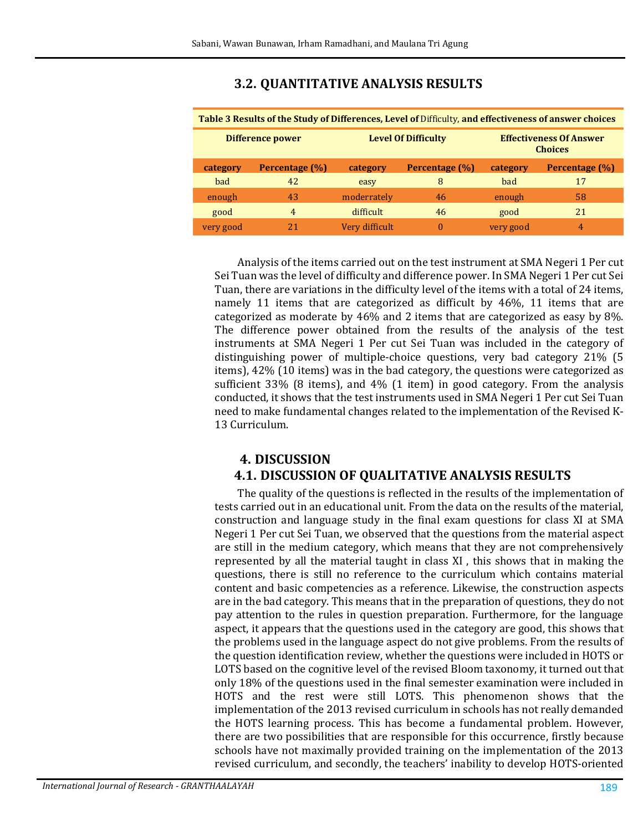# **3.2. QUANTITATIVE ANALYSIS RESULTS**

| Table 3 Results of the Study of Differences, Level of Difficulty, and effectiveness of answer choices |                |                            |                |                                                  |                |  |  |  |
|-------------------------------------------------------------------------------------------------------|----------------|----------------------------|----------------|--------------------------------------------------|----------------|--|--|--|
| Difference power                                                                                      |                | <b>Level Of Difficulty</b> |                | <b>Effectiveness Of Answer</b><br><b>Choices</b> |                |  |  |  |
| category                                                                                              | Percentage (%) | category                   | Percentage (%) | category                                         | Percentage (%) |  |  |  |
| bad                                                                                                   | 42             | easy                       | 8              | bad                                              | 17             |  |  |  |
| enough                                                                                                | 43             | moderrately                | 46             | enough                                           | 58             |  |  |  |
| good                                                                                                  | 4              | difficult                  | 46             | good                                             | 21             |  |  |  |
| very good                                                                                             |                | Very difficult             | $\theta$       | very good                                        | 4              |  |  |  |

Analysis of the items carried out on the test instrument at SMA Negeri 1 Per cut Sei Tuan was the level of difficulty and difference power. In SMA Negeri 1 Per cut Sei Tuan, there are variations in the difficulty level of the items with a total of 24 items, namely 11 items that are categorized as difficult by 46%, 11 items that are categorized as moderate by 46% and 2 items that are categorized as easy by 8%. The difference power obtained from the results of the analysis of the test instruments at SMA Negeri 1 Per cut Sei Tuan was included in the category of distinguishing power of multiple-choice questions, very bad category 21% (5 items), 42% (10 items) was in the bad category, the questions were categorized as sufficient 33% (8 items), and 4% (1 item) in good category. From the analysis conducted, it shows that the test instruments used in SMA Negeri 1 Per cut Sei Tuan need to make fundamental changes related to the implementation of the Revised K-13 Curriculum.

# **4. DISCUSSION 4.1. DISCUSSION OF QUALITATIVE ANALYSIS RESULTS**

The quality of the questions is reflected in the results of the implementation of tests carried out in an educational unit. From the data on the results of the material, construction and language study in the final exam questions for class XI at SMA Negeri 1 Per cut Sei Tuan, we observed that the questions from the material aspect are still in the medium category, which means that they are not comprehensively represented by all the material taught in class XI , this shows that in making the questions, there is still no reference to the curriculum which contains material content and basic competencies as a reference. Likewise, the construction aspects are in the bad category. This means that in the preparation of questions, they do not pay attention to the rules in question preparation. Furthermore, for the language aspect, it appears that the questions used in the category are good, this shows that the problems used in the language aspect do not give problems. From the results of the question identification review, whether the questions were included in HOTS or LOTS based on the cognitive level of the revised Bloom taxonomy, it turned out that only 18% of the questions used in the final semester examination were included in HOTS and the rest were still LOTS. This phenomenon shows that the implementation of the 2013 revised curriculum in schools has not really demanded the HOTS learning process. This has become a fundamental problem. However, there are two possibilities that are responsible for this occurrence, firstly because schools have not maximally provided training on the implementation of the 2013 revised curriculum, and secondly, the teachers' inability to develop HOTS-oriented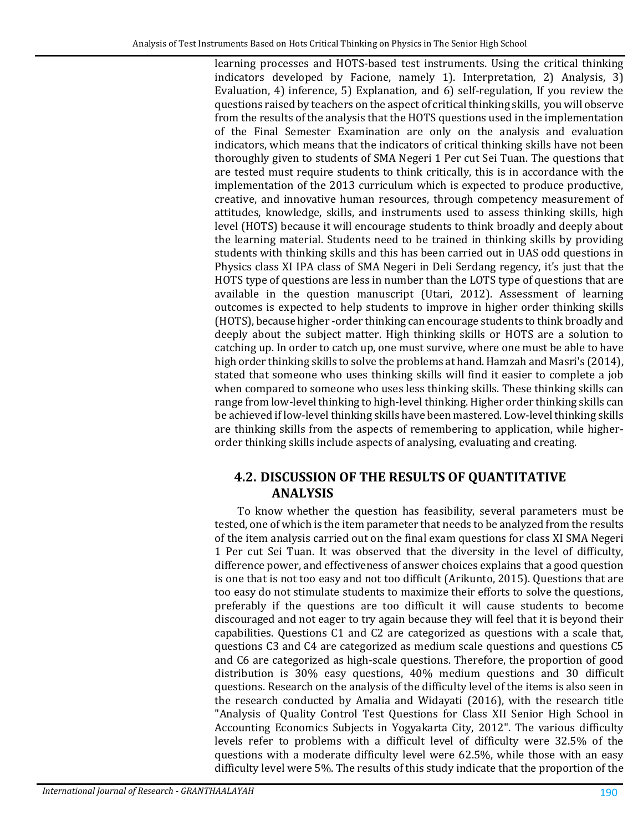learning processes and HOTS-based test instruments. Using the critical thinking indicators developed by Facione, namely 1). Interpretation, 2) Analysis, 3) Evaluation, 4) inference, 5) Explanation, and 6) self-regulation, If you review the questions raised by teachers on the aspect of critical thinking skills, you will observe from the results of the analysis that the HOTS questions used in the implementation of the Final Semester Examination are only on the analysis and evaluation indicators, which means that the indicators of critical thinking skills have not been thoroughly given to students of SMA Negeri 1 Per cut Sei Tuan. The questions that are tested must require students to think critically, this is in accordance with the implementation of the 2013 curriculum which is expected to produce productive, creative, and innovative human resources, through competency measurement of attitudes, knowledge, skills, and instruments used to assess thinking skills, high level (HOTS) because it will encourage students to think broadly and deeply about the learning material. Students need to be trained in thinking skills by providing students with thinking skills and this has been carried out in UAS odd questions in Physics class XI IPA class of SMA Negeri in Deli Serdang regency, it's just that the HOTS type of questions are less in number than the LOTS type of questions that are available in the question manuscript (Utari, 2012). Assessment of learning outcomes is expected to help students to improve in higher order thinking skills (HOTS), because higher -order thinking can encourage students to think broadly and deeply about the subject matter. High thinking skills or HOTS are a solution to catching up. In order to catch up, one must survive, where one must be able to have high order thinking skills to solve the problems at hand. Hamzah and Masri's (2014), stated that someone who uses thinking skills will find it easier to complete a job when compared to someone who uses less thinking skills. These thinking skills can range from low-level thinking to high-level thinking. Higher order thinking skills can be achieved if low-level thinking skills have been mastered. Low-level thinking skills are thinking skills from the aspects of remembering to application, while higherorder thinking skills include aspects of analysing, evaluating and creating.

# **4.2. DISCUSSION OF THE RESULTS OF QUANTITATIVE ANALYSIS**

To know whether the question has feasibility, several parameters must be tested, one of which is the item parameter that needs to be analyzed from the results of the item analysis carried out on the final exam questions for class XI SMA Negeri 1 Per cut Sei Tuan. It was observed that the diversity in the level of difficulty, difference power, and effectiveness of answer choices explains that a good question is one that is not too easy and not too difficult (Arikunto, 2015). Questions that are too easy do not stimulate students to maximize their efforts to solve the questions, preferably if the questions are too difficult it will cause students to become discouraged and not eager to try again because they will feel that it is beyond their capabilities. Questions C1 and C2 are categorized as questions with a scale that, questions C3 and C4 are categorized as medium scale questions and questions C5 and C6 are categorized as high-scale questions. Therefore, the proportion of good distribution is 30% easy questions, 40% medium questions and 30 difficult questions. Research on the analysis of the difficulty level of the items is also seen in the research conducted by Amalia and Widayati (2016), with the research title "Analysis of Quality Control Test Questions for Class XII Senior High School in Accounting Economics Subjects in Yogyakarta City, 2012". The various difficulty levels refer to problems with a difficult level of difficulty were 32.5% of the questions with a moderate difficulty level were 62.5%, while those with an easy difficulty level were 5%. The results of this study indicate that the proportion of the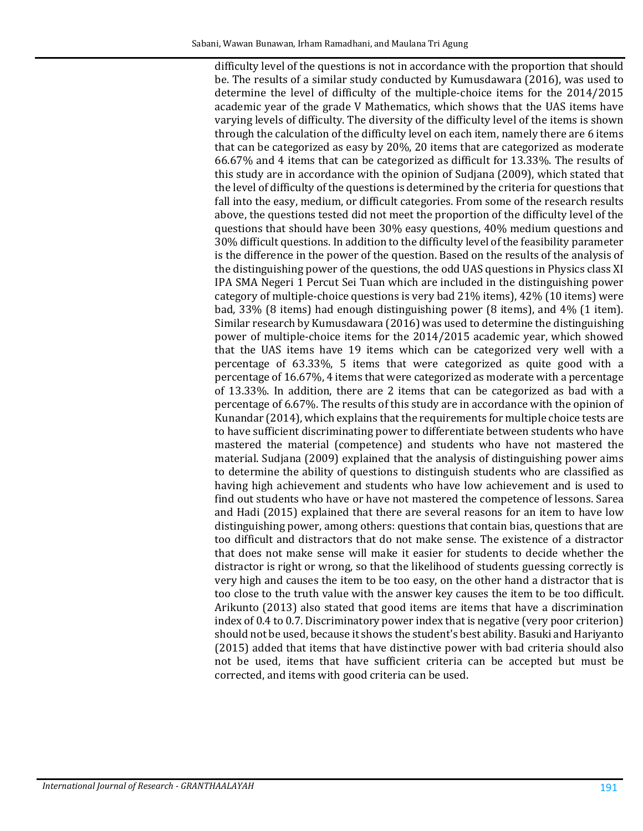difficulty level of the questions is not in accordance with the proportion that should be. The results of a similar study conducted by Kumusdawara (2016), was used to determine the level of difficulty of the multiple-choice items for the 2014/2015 academic year of the grade V Mathematics, which shows that the UAS items have varying levels of difficulty. The diversity of the difficulty level of the items is shown through the calculation of the difficulty level on each item, namely there are 6 items that can be categorized as easy by 20%, 20 items that are categorized as moderate 66.67% and 4 items that can be categorized as difficult for 13.33%. The results of this study are in accordance with the opinion of Sudjana (2009), which stated that the level of difficulty of the questions is determined by the criteria for questions that fall into the easy, medium, or difficult categories. From some of the research results above, the questions tested did not meet the proportion of the difficulty level of the questions that should have been 30% easy questions, 40% medium questions and 30% difficult questions. In addition to the difficulty level of the feasibility parameter is the difference in the power of the question. Based on the results of the analysis of the distinguishing power of the questions, the odd UAS questions in Physics class XI IPA SMA Negeri 1 Percut Sei Tuan which are included in the distinguishing power category of multiple-choice questions is very bad 21% items), 42% (10 items) were bad, 33% (8 items) had enough distinguishing power (8 items), and 4% (1 item). Similar research by Kumusdawara (2016) was used to determine the distinguishing power of multiple-choice items for the 2014/2015 academic year, which showed that the UAS items have 19 items which can be categorized very well with a percentage of 63.33%, 5 items that were categorized as quite good with a percentage of 16.67%, 4 items that were categorized as moderate with a percentage of 13.33%. In addition, there are 2 items that can be categorized as bad with a percentage of 6.67%. The results of this study are in accordance with the opinion of Kunandar (2014), which explains that the requirements for multiple choice tests are to have sufficient discriminating power to differentiate between students who have mastered the material (competence) and students who have not mastered the material. Sudjana (2009) explained that the analysis of distinguishing power aims to determine the ability of questions to distinguish students who are classified as having high achievement and students who have low achievement and is used to find out students who have or have not mastered the competence of lessons. Sarea and Hadi (2015) explained that there are several reasons for an item to have low distinguishing power, among others: questions that contain bias, questions that are too difficult and distractors that do not make sense. The existence of a distractor that does not make sense will make it easier for students to decide whether the distractor is right or wrong, so that the likelihood of students guessing correctly is very high and causes the item to be too easy, on the other hand a distractor that is too close to the truth value with the answer key causes the item to be too difficult. Arikunto (2013) also stated that good items are items that have a discrimination index of 0.4 to 0.7. Discriminatory power index that is negative (very poor criterion) should not be used, because it shows the student's best ability. Basuki and Hariyanto (2015) added that items that have distinctive power with bad criteria should also not be used, items that have sufficient criteria can be accepted but must be corrected, and items with good criteria can be used.